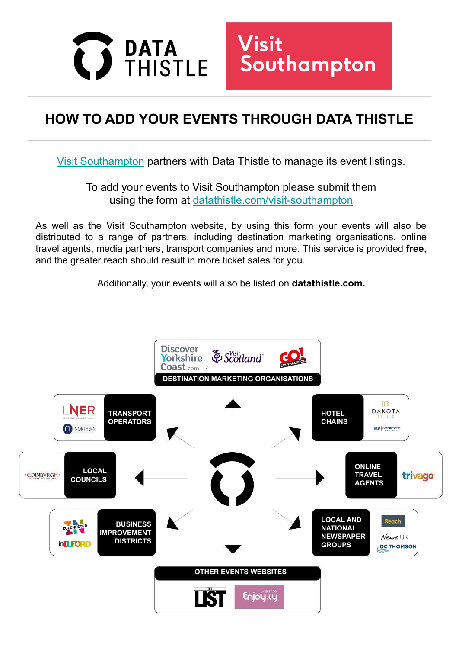



## **HOW TO ADD YOUR EVENTS THROUGH DATA THISTLE**

[Visit Southampton](https://visitsouthampton.co.uk/) partners with Data Thistle to manage its event listings.

To add your events to Visit Southampton please submit them using the form at [datathistle.com/visit-southampton](https://www.datathistle.com/update/event-listing/?org=visit-southampton)

As well as the Visit Southampton website, by using this form your events will also be distributed to a range of partners, including destination marketing organisations, online travel agents, media partners, transport companies and more. This service is provided **free**, and the greater reach should result in more ticket sales for you.

Additionally, your events will also be listed on **datathistle.com.**